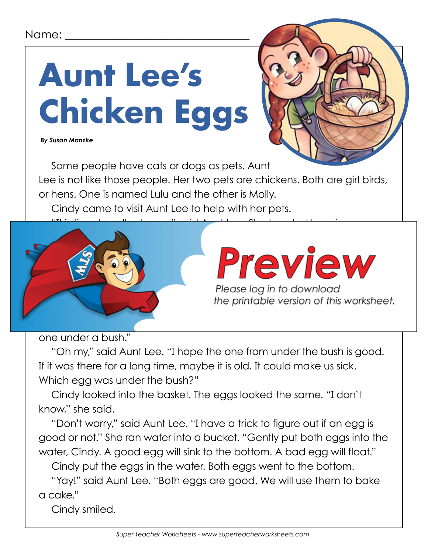#### Name:

# **Aunt Lee's Chicken Eggs**

 *By Susan Manzke*



Some people have cats or dogs as pets. Aunt Lee is not like those people. Her two pets are chickens. Both are girl birds, or hens. One is named Lulu and the other is Molly. Cindy came to visit Aunt Lee to help with her pets.



one under a bush."

"Oh my," said Aunt Lee. "I hope the one from under the bush is good. If it was there for a long time, maybe it is old. It could make us sick. Which egg was under the bush?"

Cindy looked into the basket. The eggs looked the same. "I don't know," she said.

"Don't worry," said Aunt Lee. "I have a trick to figure out if an egg is good or not." She ran water into a bucket. "Gently put both eggs into the water, Cindy. A good egg will sink to the bottom. A bad egg will float."

Cindy put the eggs in the water. Both eggs went to the bottom.

"Yay!" said Aunt Lee. "Both eggs are good. We will use them to bake a cake."

Cindy smiled.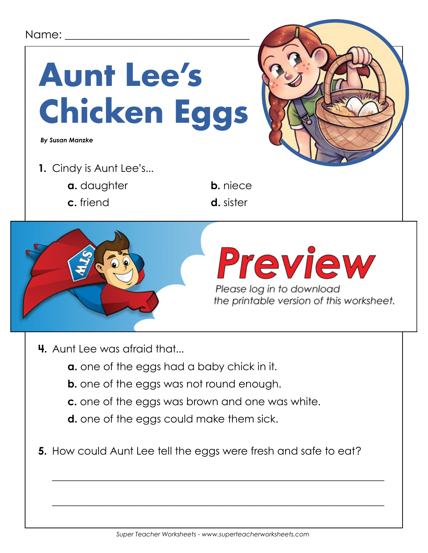#### Name:



- **4.** Aunt Lee was afraid that...
	- **a.** one of the eggs had a baby chick in it.
	- **b.** one of the eggs was not round enough.
	- **c.** one of the eggs was brown and one was white.
	- **d.** one of the eggs could make them sick.
- **5.** How could Aunt Lee tell the eggs were fresh and safe to eat?

 $\overline{\phantom{a}}$  , and the contract of the contract of the contract of the contract of the contract of the contract of the contract of the contract of the contract of the contract of the contract of the contract of the contrac

 $\overline{\phantom{a}}$  , and the contract of the contract of the contract of the contract of the contract of the contract of the contract of the contract of the contract of the contract of the contract of the contract of the contrac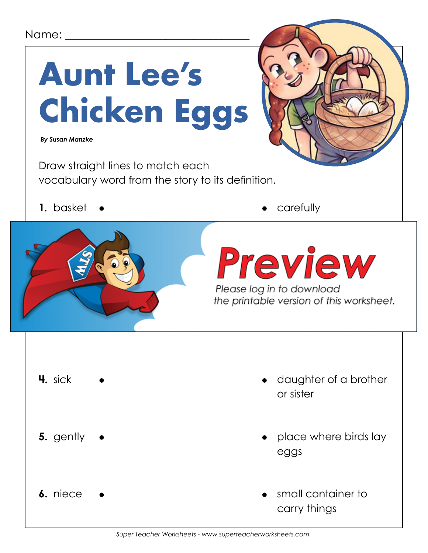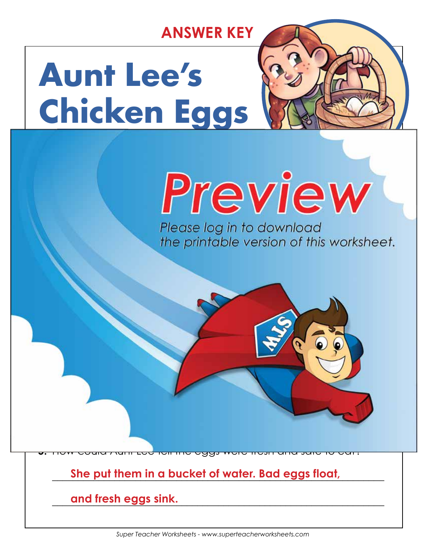### **ANSWER KEY**

## **Aunt Lee's Chicken Eggs**

**a.** daughter **b. niece**

**c.** friend **d.** sister

**3.** Where did she find the second egg?

**She found it under a bush.**

**a.** one of the eggs had a baby chick in it.

**b.** one of the eggs was not round the eggs was not round that the equation of the equation of the equation of the equation of the equation of the equation of the equation of the equation of the equation of the equation of

**d. one of the eggs could make them sick.**

**c.** One of the eggs was brown and one was well as well as well as well as well as well as well as well as well as well as well as well as well as well as well as well as well as well as well as well as well as well as wel

**4.** Aunt Lee was afraid that...

### Please log in to download<br>the printable version of this worksheet.

**5.** How could Aunt Lee tell the eggs were fresh and safe to eat?

 $\mathcal{L}_\mathcal{L}$  , and the set of the set of the set of the set of the set of the set of the set of the set of the set

**She found it in the chicken house (in a nest).**

 $\mathcal{L} = \{ \mathcal{L} \mid \mathcal{L} \in \mathcal{L} \}$ 

\_\_\_\_\_\_\_\_\_\_\_\_\_\_\_\_\_\_\_\_\_\_\_\_\_\_\_\_\_\_\_\_\_\_\_\_\_\_\_\_\_\_\_\_\_\_\_\_\_\_\_\_\_\_\_\_\_\_\_\_\_\_\_\_ **She put them in a bucket of water. Bad eggs float,** 

\_\_\_\_\_\_\_\_\_\_\_\_\_\_\_\_\_\_\_\_\_\_\_\_\_\_\_\_\_\_\_\_\_\_\_\_\_\_\_\_\_\_\_\_\_\_\_\_\_\_\_\_\_\_\_\_\_\_\_\_\_\_\_\_ **and fresh eggs sink.**